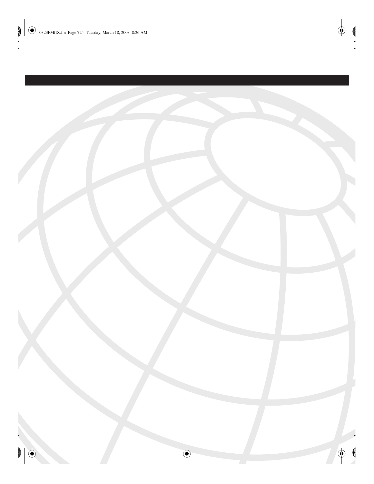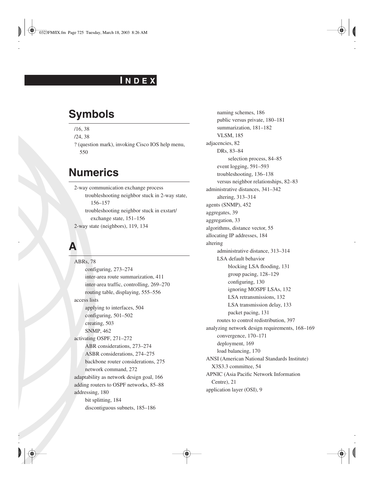### **I N D E X**

# **Symbols**

- /16, 38
- /24, 38
- ? (question mark), invoking Cisco IOS help menu, 550

# **Numerics**

2-way communication exchange process troubleshooting neighbor stuck in 2-way state, 156–157 troubleshooting neighbor stuck in exstart/ exchange state, 151–156 2-way state (neighbors), 119, 134

# **A**

ABRs, 78 configuring, 273–274 inter-area route summarization, 411 inter-area traffic, controlling, 269–270 routing table, displaying, 555–556 access lists applying to interfaces, 504 configuring, 501–502 creating, 503 SNMP, 462 activating OSPF, 271–272 ABR considerations, 273–274 ASBR considerations, 274–275 backbone router considerations, 275 network command, 272 adaptability as network design goal, 166 adding routers to OSPF networks, 85–88 addressing, 180 bit splitting, 184 discontiguous subnets, 185–186

naming schemes, 186 public versus private, 180–181 summarization, 181–182 VLSM, 185 adjacencies, 82 DRs, 83–84 selection process, 84–85 event logging, 591–593 troubleshooting, 136–138 versus neighbor relationships, 82–83 administrative distances, 341–342 altering, 313–314 agents (SNMP), 452 aggregates, 39 aggregation, 33 algorithms, distance vector, 55 allocating IP addresses, 184 altering administrative distance, 313–314 LSA default behavior blocking LSA flooding, 131 group pacing, 128–129 configuring, 130 ignoring MOSPF LSAs, 132 LSA retransmissions, 132 LSA transmission delay, 133 packet pacing, 131 routes to control redistribution, 397 analyzing network design requirements, 168–169 convergence, 170–171 deployment, 169 load balancing, 170 ANSI (American National Standards Institute) X3S3.3 committee, 54 APNIC (Asia Pacific Network Information Centre), 21 application layer (OSI), 9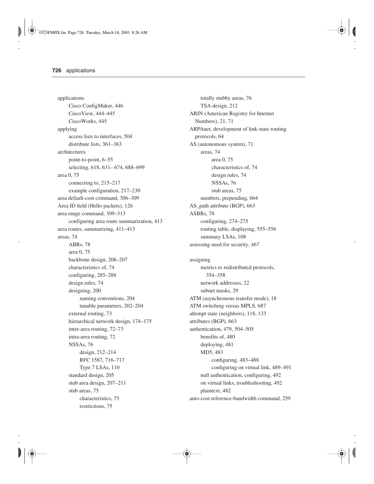applications Cisco ConfigMaker, 446 CiscoView, 444–445 CiscoWorks, 445 applying access lists to interfaces, 504 distribute lists, 361–363 architectures point-to-point, 6–55 selecting, 618, 631– 674, 688–699 area 0, 75 connecting to, 215–217 example configuration, 217–230 area default-cost command, 306–309 Area ID field (Hello packets), 126 area range command, 309–313 configuring area route summarization, 413 area routes, summarizing, 411–413 areas, 74 ABRs, 78 area 0, 75 backbone design, 206–207 characteristics of, 74 configuring, 285–288 design rules, 74 designing, 200 naming conventions, 204 tunable parameters, 202–204 external routing, 73 hierarchical network design, 174–175 inter-area routing, 72–73 intra-area routing, 72 NSSAs, 76 design, 212–214 RFC 1587, 716–717 Type 7 LSAs, 110 standard design, 205 stub area design, 207–211 stub areas, 75 characteristics, 75 restrictions, 75

totally stubby areas, 76 TSA design, 212 ARIN (American Registry for Internet Numbers), 21, 71 ARPAnet, development of link-state routing protocols, 64 AS (autonomous system), 71 areas, 74 area 0, 75 characteristics of, 74 design rules, 74 NSSAs, 76 stub areas, 75 numbers, prepending, 664 AS\_path attribute (BGP), 663 ASBRs, 78 configuring, 274–275 routing table, displaying, 555–556 summary LSAs, 108 assessing need for security, 467

assigning metrics to redistributed protocols, 354–358 network addresses, 22 subnet masks, 29 ATM (asynchronous transfer mode), 18 ATM switching versus MPLS, 687 attempt state (neighbors), 118, 133 attributes (BGP), 663 authentication, 479, 504–505 benefits of, 480 deploying, 481 MD5, 483 configuring, 483–488 configuring on virtual link, 489–491 null authentication, configuring, 492 on virtual links, troubleshooting, 492 plaintext, 482 auto-cost reference-bandwidth command, 259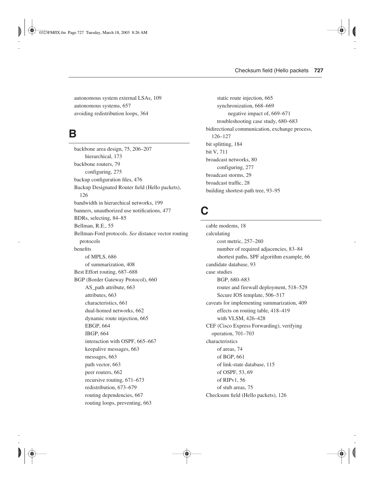autonomous system external LSAs, 109 autonomous systems, 657 avoiding redistribution loops, 364

### **B**

backbone area design, 75, 206–207 hierarchical, 173 backbone routers, 79 configuring, 275 backup configuration files, 476 Backup Designated Router field (Hello packets), 126 bandwidth in hierarchical networks, 199 banners, unauthorized use notifications, 477 BDRs, selecting, 84–85 Bellman, R.E., 55 Bellman-Ford protocols. *See* distance vector routing protocols benefits of MPLS, 686 of summarization, 408 Best Effort routing, 687–688 BGP (Border Gateway Protocol), 660 AS\_path attribute, 663 attributes, 663 characteristics, 661 dual-homed networks, 662 dynamic route injection, 665 EBGP, 664 IBGP, 664 interaction with OSPF, 665–667 keepalive messages, 663 messages, 663 path vector, 663 peer routers, 662 recursive routing, 671–673 redistribution, 673–679 routing dependencies, 667 routing loops, preventing, 663

static route injection, 665 synchronization, 668–669 negative impact of, 669–671 troubleshooting case study, 680–683 bidirectional communication, exchange process, 126–127 bit splitting, 184 bit V, 711 broadcast networks, 80 configuring, 277 broadcast storms, 29 broadcast traffic, 28 building shortest-path tree, 93–95

### **C**

cable modems, 18 calculating cost metric, 257–260 number of required adjacencies, 83–84 shortest paths, SPF algorithm example, 66 candidate database, 93 case studies BGP, 680–683 router and firewall deployment, 518–529 Secure IOS template, 506–517 caveats for implementing summarization, 409 effects on routing table, 418–419 with VLSM, 426–428 CEF (Cisco Express Forwarding), verifying operation, 701–703 characteristics of areas, 74 of BGP, 661 of link-state database, 115 of OSPF, 53, 69 of  $RIPv1, 56$ of stub areas, 75 Checksum field (Hello packets), 126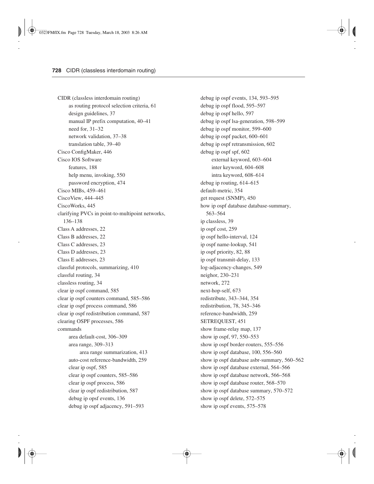CIDR (classless interdomain routing) as routing protocol selection criteria, 61 design guidelines, 37 manual IP prefix computation, 40–41 need for, 31–32 network validation, 37–38 translation table, 39–40 Cisco ConfigMaker, 446 Cisco IOS Software features, 188 help menu, invoking, 550 password encryption, 474 Cisco MIBs, 459–461 CiscoView, 444–445 CiscoWorks, 445 clarifying PVCs in point-to-multipoint networks, 136–138 Class A addresses, 22 Class B addresses, 22 Class C addresses, 23 Class D addresses, 23 Class E addresses, 23 classful protocols, summarizing, 410 classful routing, 34 classless routing, 34 clear ip ospf command, 585 clear ip ospf counters command, 585–586 clear ip ospf process command, 586 clear ip ospf redistribution command, 587 clearing OSPF processes, 586 commands area default-cost, 306–309 area range, 309–313 area range summarization, 413 auto-cost reference-bandwidth, 259 clear ip ospf, 585 clear ip ospf counters, 585–586 clear ip ospf process, 586 clear ip ospf redistribution, 587 debug ip opsf events, 136 debug ip ospf adjacency, 591–593

debug ip ospf events, 134, 593–595 debug ip ospf flood, 595–597 debug ip ospf hello, 597 debug ip ospf lsa-generation, 598–599 debug ip ospf monitor, 599–600 debug ip ospf packet, 600–601 debug ip ospf retransmission, 602 debug ip ospf spf, 602 external keyword, 603–604 inter keyword, 604–608 intra keyword, 608–614 debug ip routing, 614–615 default-metric, 354 get request (SNMP), 450 how ip ospf database database-summary, 563–564 ip classless, 39 ip ospf cost, 259 ip ospf hello-interval, 124 ip ospf name-lookup, 541 ip ospf priority, 82, 88 ip ospf transmit-delay, 133 log-adjacency-changes, 549 neighor, 230–231 network, 272 next-hop-self, 673 redistribute, 343–344, 354 redistribution, 78, 345–346 reference-bandwidth, 259 SETREQUEST, 451 show frame-relay map, 137 show ip ospf, 97, 550–553 show ip ospf border-routers, 555–556 show ip ospf database, 100, 556–560 show ip ospf database asbr-summary, 560–562 show ip ospf database external, 564–566 show ip ospf database network, 566–568 show ip ospf database router, 568–570 show ip ospf database summary, 570–572 show ip ospf delete, 572–575 show ip ospf events, 575–578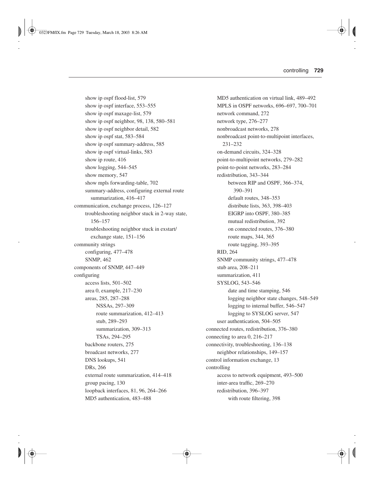show ip ospf flood-list, 579 show ip ospf interface, 553–555 show ip ospf maxage-list, 579 show ip ospf neighbor, 98, 138, 580–581 show ip ospf neighbor detail, 582 show ip ospf stat, 583–584 show ip ospf summary-address, 585 show ip ospf virtual-links, 583 show ip route, 416 show logging, 544–545 show memory, 547 show mpls forwarding-table, 702 summary-address, configuring external route summarization, 416–417 communication, exchange process, 126–127 troubleshooting neighbor stuck in 2-way state, 156–157 troubleshooting neighbor stuck in exstart/ exchange state, 151–156 community strings configuring, 477–478 SNMP, 462 components of SNMP, 447–449 configuring access lists, 501–502 area 0, example, 217–230 areas, 285, 287–288 NSSAs, 297–309 route summarization, 412–413 stub, 289–293 summarization, 309–313 TSAs, 294–295 backbone routers, 275 broadcast networks, 277 DNS lookups, 541 DRs, 266 external route summarization, 414–418 group pacing, 130 loopback interfaces, 81, 96, 264–266 MD5 authentication, 483–488

MD5 authentication on virtual link, 489–492 MPLS in OSPF networks, 696–697, 700–701 network command, 272 network type, 276–277 nonbroadcast networks, 278 nonbroadcast point-to-multipoint interfaces, 231–232 on-demand circuits, 324–328 point-to-multipoint networks, 279–282 point-to-point networks, 283–284 redistribution, 343–344 between RIP and OSPF, 366–374, 390–391 default routes, 348–353 distribute lists, 363, 398–403 EIGRP into OSPF, 380–385 mutual redistribution, 392 on connected routes, 376–380 route maps, 344, 365 route tagging, 393–395 RID, 264 SNMP community strings, 477–478 stub area, 208–211 summarization, 411 SYSLOG, 543–546 date and time stamping, 546 logging neighbor state changes, 548–549 logging to internal buffer, 546–547 logging to SYSLOG server, 547 user authentication, 504–505 connected routes, redistribution, 376–380 connecting to area 0, 216–217 connectivity, troubleshooting, 136–138 neighbor relationships, 149–157 control information exchange, 13 controlling access to network equipment, 493–500 inter-area traffic, 269–270 redistribution, 396–397 with route filtering, 398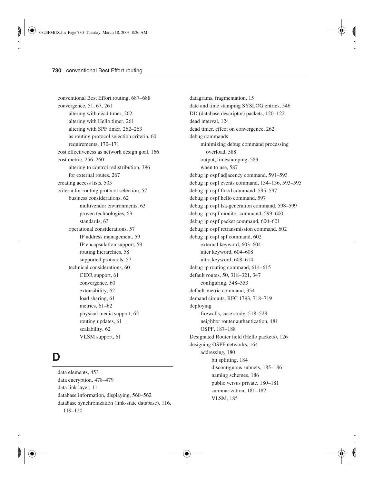conventional Best Effort routing, 687–688 convergence, 51, 67, 261 altering with dead timer, 262 altering with Hello timer, 261 altering with SPF timer, 262–263 as routing protocol selection criteria, 60 requirements, 170–171 cost effectiveness as network design goal, 166 cost metric, 256–260 altering to control redistribution, 396 for external routes, 267 creating access lists, 503 criteria for routing protocol selection, 57 business considerations, 62 multivendor environments, 63 proven technologies, 63 standards, 63 operational considerations, 57 IP address management, 59 IP encapsulation support, 59 routing hierarchies, 58 supported protocols, 57 technical considerations, 60 CIDR support, 61 convergence, 60 extensibility, 62 load sharing, 61 metrics, 61–62 physical media support, 62 routing updates, 61 scalability, 62 VLSM support, 61

# **D**

data elements, 453 data encryption, 478–479 data link layer, 11 database information, displaying, 560–562 database synchronization (link-state database), 116, 119–120

datagrams, fragmentation, 15 date and time stamping SYSLOG entries, 546 DD (database descriptor) packets, 120–122 dead interval, 124 dead timer, effect on convergence, 262 debug commands minimizing debug command processing overload, 588 output, timestamping, 589 when to use, 587 debug ip ospf adjacency command, 591–593 debug ip ospf events command, 134–136, 593–595 debug ip ospf flood command, 595–597 debug ip ospf hello command, 597 debug ip ospf lsa-generation command, 598–599 debug ip ospf monitor command, 599–600 debug ip ospf packet command, 600–601 debug ip ospf retransmission command, 602 debug ip ospf spf command, 602 external keyword, 603–604 inter keyword, 604–608 intra keyword, 608–614 debug ip routing command, 614–615 default routes, 50, 318–321, 347 configuring, 348–353 default-metric command, 354 demand circuits, RFC 1793, 718–719 deploying firewalls, case study, 518–529 neighbor router authentication, 481 OSPF, 187–188 Designated Router field (Hello packets), 126 designing OSPF networks, 164 addressing, 180 bit splitting, 184 discontiguous subnets, 185–186 naming schemes, 186 public versus private, 180–181 summarization, 181–182 VLSM, 185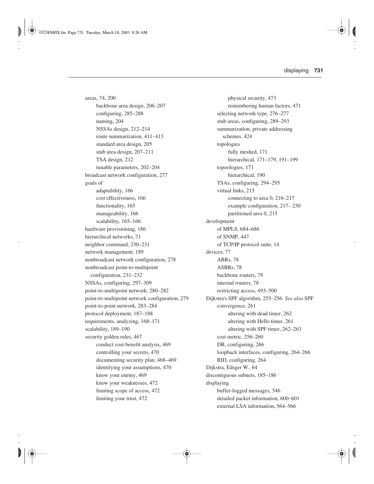areas, 74, 200 backbone area design, 206–207 configuring, 285–288 naming, 204 NSSAs design, 212–214 route summarization, 411–413 standard area design, 205 stub area design, 207–211 TSA design, 212 tunable parameters, 202–204 broadcast network configuration, 277 goals of adaptability, 166 cost effectiveness, 166 functionality, 165 manageability, 166 scalability, 165–166 hardware provisioning, 186 hierarchical networks, 71 neighbor command, 230–231 network management, 189 nonbroadcast network configuration, 278 nonbroadcast point-to-multipoint configuration, 231–232 NSSAs, configuring, 297–309 point-to-multipoint network, 280–282 point-to-multipoint network configuration, 279 point-to-point network, 283–284 protocol deployment, 187–188 requirements, analyzing, 168–171 scalability, 189–190 security golden rules, 467 conduct cost-benefit analysis, 469 controlling your secrets, 470 documenting security plan, 468–469 identifying your assumptions, 470 know your enemy, 469 know your weaknesses, 472 limiting scope of access, 472 limiting your trust, 472

physical security, 473 remembering human factors, 471 selecting network type, 276–277 stub areas, configuring, 289–293 summarization, private addressing schemes, 424 topologies fully meshed, 171 hierarchical, 171–179, 191–199 topoologies, 171 hierarchical, 190 TSAs, configuring, 294–295 virtual links, 215 connecting to area 0, 216–217 example configuration, 217– 230 partitioned area 0, 215 development of MPLS, 684–686 of SNMP, 447 of TCP/IP protocol suite, 14 devices, 77 ABRs, 78 ASBRs, 78 backbone routers, 79 internal routers, 78 restricting access, 493–500 Dijkstra's SPF algorithm, 255–256. *See also* SPF convergence, 261 altering with dead timer, 262 altering with Hello timer, 261 altering with SPF timer, 262–263 cost metric, 256–260 DR, configuring, 266 loopback interfaces, configuring, 264–266 RID, configuring, 264 Dijkstra, Edsger W., 64 discontiguous subnets, 185–186 displaying buffer-logged messages, 546 detailed packet information, 600–601 external LSA information, 564–566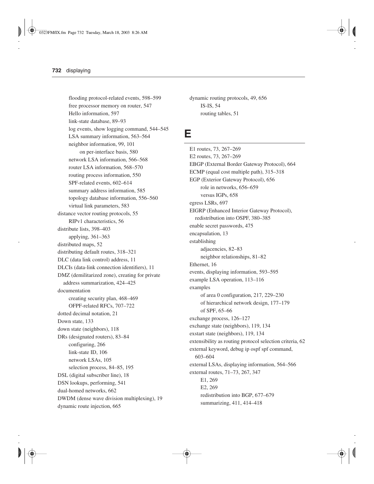flooding protocol-related events, 598–599 free processor memory on router, 547 Hello information, 597 link-state database, 89–93 log events, show logging command, 544–545 LSA summary information, 563–564 neighbor information, 99, 101 on per-interface basis, 580 network LSA information, 566–568 router LSA information, 568–570 routing process information, 550 SPF-related events, 602–614 summary address information, 585 topology database information, 556–560 virtual link parameters, 583 distance vector routing protocols, 55 RIPv1 characteristics, 56 distribute lists, 398–403 applying, 361–363 distributed maps, 52 distributing default routes, 318–321 DLC (data link control) address, 11 DLCIs (data-link connection identifiers), 11 DMZ (demilitarized zone), creating for private address summarization, 424–425 documentation creating security plan, 468–469 OFPF-related RFCs, 707–722 dotted decimal notation, 21 Down state, 133 down state (neighbors), 118 DRs (designated routers), 83–84 configuring, 266 link-state ID, 106 network LSAs, 105 selection process, 84–85, 195 DSL (digital subscriber line), 18 DSN lookups, performing, 541 dual-homed networks, 662 DWDM (dense wave division multiplexing), 19 dynamic route injection, 665

dynamic routing protocols, 49, 656 IS-IS, 54 routing tables, 51

#### **E**

E1 routes, 73, 267–269 E2 routes, 73, 267–269 EBGP (External Border Gateway Protocol), 664 ECMP (equal cost multiple path), 315–318 EGP (Exterior Gateway Protocol), 656 role in networks, 656–659 versus IGPs, 658 egress LSRs, 697 EIGRP (Enhanced Interior Gateway Protocol), redistribution into OSPF, 380–385 enable secret passwords, 475 encapsulation, 13 establishing adjacencies, 82–83 neighbor relationships, 81–82 Ethernet, 16 events, displaying information, 593–595 example LSA operation, 113–116 examples of area 0 configuration, 217, 229–230 of hierarchical network design, 177–179 of SPF, 65–66 exchange process, 126–127 exchange state (neighbors), 119, 134 exstart state (neighbors), 119, 134 extensibility as routing protocol selection criteria, 62 external keyword, debug ip ospf spf command, 603–604 external LSAs, displaying information, 564–566 external routes, 71–73, 267, 347 E1, 269 E2, 269 redistribution into BGP, 677–679 summarizing, 411, 414–418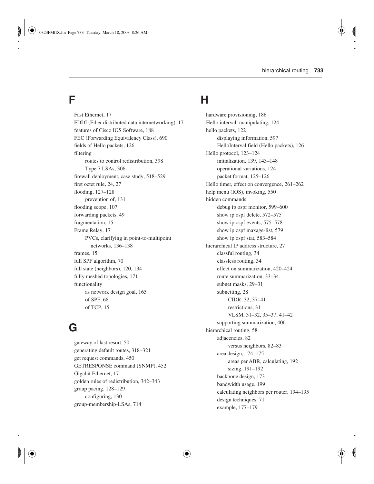## **F**

Fast Ethernet, 17 FDDI (Fiber distributed data internetworking), 17 features of Cisco IOS Software, 188 FEC (Forwarding Equivalency Class), 690 fields of Hello packets, 126 filtering routes to control redistribution, 398 Type 7 LSAs, 306 firewall deployment, case study, 518–529 first octet rule, 24, 27 flooding, 127–128 prevention of, 131 flooding scope, 107 forwarding packets, 49 fragmentation, 15 Frame Relay, 17 PVCs, clarifying in point-to-multipoint networks, 136–138 frames, 15 full SPF algorithm, 70 full state (neighbors), 120, 134 fully meshed topologies, 171 functionality as network design goal, 165 of SPF, 68 of TCP, 15

# **G**

gateway of last resort, 50 generating default routes, 318–321 get request commands, 450 GETRESPONSE command (SNMP), 452 Gigabit Ethernet, 17 golden rules of redistribution, 342–343 group pacing, 128–129 configuring, 130 group-membership-LSAs, 714

# **H**

hardware provisioning, 186 Hello interval, manipulating, 124 hello packets, 122 displaying information, 597 HelloInterval field (Hello packets), 126 Hello protocol, 123–124 initialization, 139, 143–148 operational variations, 124 packet format, 125–126 Hello timer, effect on convergence, 261–262 help menu (IOS), invoking, 550 hidden commands debug ip ospf monitor, 599–600 show ip ospf delete, 572–575 show ip ospf events, 575–578 show ip ospf maxage-list, 579 show ip ospf stat, 583–584 hierarchical IP address structure, 27 classful routing, 34 classless routing, 34 effect on summarization, 420–424 route summarization, 33–34 subnet masks, 29–31 subnetting, 28 CIDR, 32, 37–41 restrictions, 31 VLSM, 31–32, 35–37, 41–42 supporting summarization, 406 hierarchical routing, 58 adjacencies, 82 versus neighbors, 82–83 area design, 174–175 areas per ABR, calculating, 192 sizing, 191–192 backbone design, 173 bandwidth usage, 199 calculating neighbors per router, 194–195 design techniques, 71 example, 177–179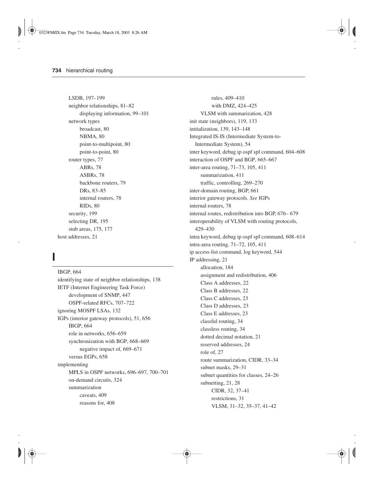LSDB, 197–199 neighbor relationships, 81–82 displaying information, 99–101 network types broadcast, 80 NBMA, 80 point-to-multipoint, 80 point-to-point, 80 router types, 77 ABRs, 78 ASBRs, 78 backbone routers, 79 DRs, 83–85 internal routers, 78 RIDs, 80 security, 199 selecting DR, 195 stub areas, 175, 177 host addresses, 21

### **I**

IBGP, 664 identifying state of neighbor relationships, 138 IETF (Internet Engineering Task Force) development of SNMP, 447 OSPF-related RFCs, 707–722 ignoring MOSPF LSAs, 132 IGPs (interior gateway protocols), 51, 656 IBGP, 664 role in networks, 656–659 synchronization with BGP, 668–669 negative impact of, 669–671 versus EGPs, 658 implementing MPLS in OSPF networks, 696–697, 700–701 on-demand circuits, 324 summarization caveats, 409 reasons for, 408

rules, 409–410 with DMZ, 424–425 VLSM with summarization, 428 init state (neighbors), 119, 133 initialization, 139, 143–148 Integrated IS-IS (Intermediate System-to-Intermediate System), 54 inter keyword, debug ip ospf spf command, 604–608 interaction of OSPF and BGP, 665–667 inter-area routing, 71–73, 105, 411 summarization, 411 traffic, controlling, 269–270 inter-domain routing, BGP, 661 interior gateway protocols. *See* IGPs internal routers, 78 internal routes, redistribution into BGP, 676– 679 interoperability of VLSM with routing protocols, 429–430 intra keyword, debug ip ospf spf command, 608–614 intra-area routing, 71–72, 105, 411 ip access-list command, log keyword, 544 IP addressing, 21 allocation, 184 assignment and redistribution, 406 Class A addresses, 22 Class B addresses, 22 Class C addresses, 23 Class D addresses, 23 Class E addresses, 23 classful routing, 34 classless routing, 34 dotted decimal notation, 21 reserved addresses, 24 role of, 27 route summarization, CIDR, 33–34 subnet masks, 29–31 subnet quantities for classes, 24–26 subnetting, 21, 28 CIDR, 32, 37–41 restrictions, 31 VLSM, 31–32, 35–37, 41–42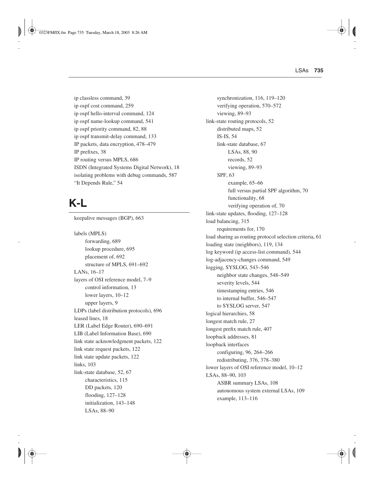ip classless command, 39 ip ospf cost command, 259 ip ospf hello-interval command, 124 ip ospf name-lookup command, 541 ip ospf priority command, 82, 88 ip ospf transmit-delay command, 133 IP packets, data encryption, 478–479 IP prefixes, 38 IP routing versus MPLS, 686 ISDN (Integrated Systems Digital Network), 18 isolating problems with debug commands, 587 "It Depends Rule," 54

# **K-L**

keepalive messages (BGP), 663

labels (MPLS) forwarding, 689 lookup procedure, 695 placement of, 692 structure of MPLS, 691–692 LANs, 16–17 layers of OSI reference model, 7–9 control information, 13 lower layers, 10–12 upper layers, 9 LDPs (label distribution protocols), 696 leased lines, 18 LER (Label Edge Router), 690–691 LIB (Label Information Base), 690 link state acknowledgment packets, 122 link state request packets, 122 link state update packets, 122 links, 103 link-state database, 52, 67 characteristics, 115 DD packets, 120 flooding, 127–128 initialization, 143–148 LSAs, 88–90

synchronization, 116, 119–120 verifying operation, 570–572 viewing, 89–93 link-state routing protocols, 52 distributed maps, 52 IS-IS, 54 link-state database, 67 LSAs, 88, 90 records, 52 viewing, 89–93 SPF, 63 example, 65–66 full versus partial SPF algorithm, 70 functionality, 68 verifying operation of, 70 link-state updates, flooding, 127–128 load balancing, 315 requirements for, 170 load sharing as routing protocol selection criteria, 61 loading state (neighbors), 119, 134 log keyword (ip access-list command), 544 log-adjacency-changes command, 549 logging, SYSLOG, 543–546 neighbor state changes, 548–549 severity levels, 544 timestamping entries, 546 to internal buffer, 546–547 to SYSLOG server, 547 logical hierarchies, 58 longest match rule, 27 longest prefix match rule, 407 loopback addresses, 81 loopback interfaces configuring, 96, 264–266 redistributing, 376, 378–380 lower layers of OSI reference model, 10–12 LSAs, 88–90, 103 ASBR summary LSAs, 108 autonomous system external LSAs, 109 example, 113–116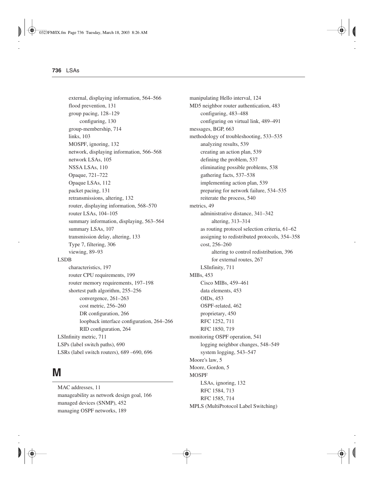external, displaying information, 564–566 flood prevention, 131 group pacing, 128–129 configuring, 130 group-membership, 714 links, 103 MOSPF, ignoring, 132 network, displaying information, 566–568 network LSAs, 105 NSSA LSAs, 110 Opaque, 721–722 Opaque LSAs, 112 packet pacing, 131 retransmissions, altering, 132 router, displaying information, 568–570 router LSAs, 104–105 summary information, displaying, 563–564 summary LSAs, 107 transmission delay, altering, 133 Type 7, filtering, 306 viewing, 89–93

#### LSDB

characteristics, 197 router CPU requirements, 199 router memory requirements, 197–198 shortest path algorithm, 255–256 convergence, 261–263 cost metric, 256–260 DR configuration, 266 loopback interface configuration, 264–266 RID configuration, 264 LSInfinity metric, 711 LSPs (label switch paths), 690 LSRs (label switch routers), 689 –690, 696

### **M**

MAC addresses, 11 manageability as network design goal, 166 managed devices (SNMP), 452 managing OSPF networks, 189

manipulating Hello interval, 124 MD5 neighbor router authentication, 483 configuring, 483–488 configuring on virtual link, 489–491 messages, BGP, 663 methodology of troubleshooting, 533–535 analyzing results, 539 creating an action plan, 539 defining the problem, 537 eliminating possible problems, 538 gathering facts, 537–538 implementing action plan, 539 preparing for network failure, 534–535 reiterate the process, 540 metrics, 49 administrative distance, 341–342 altering, 313–314 as routing protocol selection criteria, 61–62 assigning to redistributed protocols, 354–358 cost, 256–260 altering to control redistribution, 396 for external routes, 267 LSInfinity, 711 MIBs, 453 Cisco MIBs, 459–461 data elements, 453 OIDs, 453 OSPF-related, 462 proprietary, 450 RFC 1252, 711 RFC 1850, 719 monitoring OSPF operation, 541 logging neighbor changes, 548–549 system logging, 543–547 Moore's law, 5 Moore, Gordon, 5 **MOSPF** LSAs, ignoring, 132 RFC 1584, 713 RFC 1585, 714 MPLS (MultiProtocol Label Switching)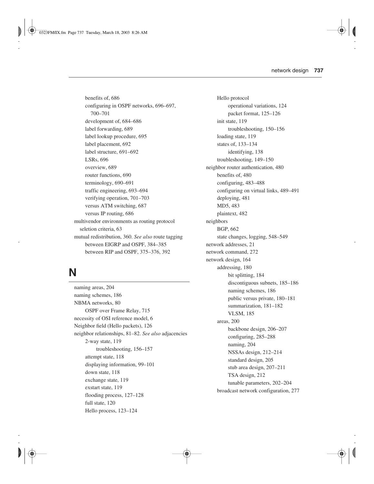benefits of, 686 configuring in OSPF networks, 696–697, 700–701 development of, 684–686 label forwarding, 689 label lookup procedure, 695 label placement, 692 label structure, 691–692 LSRs, 696 overview, 689 router functions, 690 terminology, 690–691 traffic engineering, 693–694 verifying operation, 701–703 versus ATM switching, 687 versus IP routing, 686 multivendor environments as routing protocol seletion criteria, 63 mutual redistribution, 360. *See also* route tagging between EIGRP and OSPF, 384–385 between RIP and OSPF, 375–376, 392

# **N**

naming areas, 204 naming schemes, 186 NBMA networks, 80 OSPF over Frame Relay, 715 necessity of OSI reference model, 6 Neighbor field (Hello packets), 126 neighbor relationships, 81–82. *See also* adjacencies 2-way state, 119 troubleshooting, 156–157 attempt state, 118 displaying information, 99–101 down state, 118 exchange state, 119 exstart state, 119 flooding process, 127–128 full state, 120 Hello process, 123–124

Hello protocol operational variations, 124 packet format, 125–126 init state, 119 troubleshooting, 150–156 loading state, 119 states of, 133–134 identifying, 138 troubleshooting, 149–150 neighbor router authentication, 480 benefits of, 480 configuring, 483–488 configuring on virtual links, 489–491 deploying, 481 MD5, 483 plaintext, 482 neighbors BGP, 662 state changes, logging, 548–549 network addresses, 21 network command, 272 network design, 164 addressing, 180 bit splitting, 184 discontiguous subnets, 185–186 naming schemes, 186 public versus private, 180–181 summarization, 181–182 VLSM, 185 areas, 200 backbone design, 206–207 configuring, 285–288 naming, 204 NSSAs design, 212–214 standard design, 205 stub area design, 207–211 TSA design, 212 tunable parameters, 202–204 broadcast network configuration, 277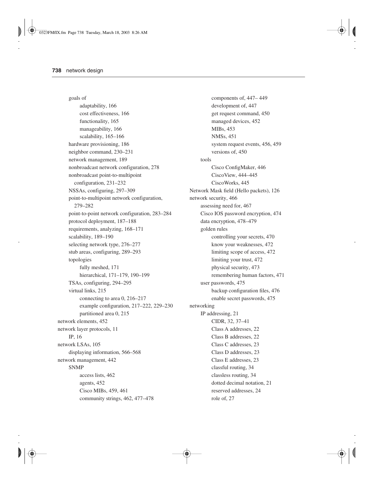goals of adaptability, 166 cost effectiveness, 166 functionality, 165 manageability, 166 scalability, 165–166 hardware provisioning, 186 neighbor command, 230–231 network management, 189 nonbroadcast network configuration, 278 nonbroadcast point-to-multipoint configuration, 231–232 NSSAs, configuring, 297–309 point-to-multipoint network configuration, 279–282 point-to-point network configuration, 283–284 protocol deployment, 187–188 requirements, analyzing, 168–171 scalability, 189–190 selecting network type, 276–277 stub areas, configuring, 289–293 topologies fully meshed, 171 hierarchical, 171–179, 190–199 TSAs, configuring, 294–295 virtual links, 215 connecting to area 0, 216–217 example configuration, 217–222, 229–230 partitioned area 0, 215 network elements, 452 network layer protocols, 11 IP, 16 network LSAs, 105 displaying information, 566–568 network management, 442 SNMP access lists, 462 agents, 452 Cisco MIBs, 459, 461 community strings, 462, 477–478

components of, 447– 449 development of, 447 get request command, 450 managed devices, 452 MIBs, 453 NMSs, 451 system request events, 456, 459 versions of, 450 tools Cisco ConfigMaker, 446 CiscoView, 444–445 CiscoWorks, 445 Network Mask field (Hello packets), 126 network security, 466 assessing need for, 467 Cisco IOS password encryption, 474 data encryption, 478–479 golden rules controlling your secrets, 470 know your weaknesses, 472 limiting scope of access, 472 limiting your trust, 472 physical security, 473 remembering human factors, 471 user passwords, 475 backup configuration files, 476 enable secret passwords, 475 networking IP addressing, 21 CIDR, 32, 37–41 Class A addresses, 22 Class B addresses, 22 Class C addresses, 23 Class D addresses, 23 Class E addresses, 23 classful routing, 34 classless routing, 34 dotted decimal notation, 21 reserved addresses, 24 role of, 27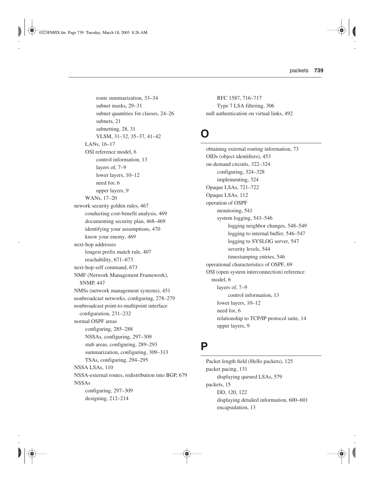route summarization, 33–34 subnet masks, 29–31 subnet quantities for classes, 24–26 subnets, 21 subnetting, 28, 31 VLSM, 31–32, 35–37, 41–42 LANs, 16–17 OSI reference model, 6 control information, 13 layers of, 7–9 lower layers, 10–12 need for, 6 upper layers, 9 WANs, 17–20 nework security golden rules, 467 conducting cost-benefit analysis, 469 documenting security plan, 468–469 identifying your assumptions, 470 know your enemy, 469 next-hop addresses longest prefix match rule, 407 reachability, 671–673 next-hop-self command, 673 NMF (Network Management Framework), SNMP, 447 NMSs (network management systems), 451 nonbroadcast networks, configuring, 278–279 nonbroadcast point-to-multipoint interface configuration, 231–232 normal OSPF areas configuring, 285–288 NSSAs, configuring, 297–309 stub areas, configuring, 289–293 summarization, configuring, 309–313 TSAs, configuring, 294–295 NSSA LSAs, 110 NSSA-external routes, redistribution into BGP, 679 NSSAs configuring, 297–309 designing, 212–214

RFC 1587, 716–717 Type 7 LSA filtering, 306 null authentication on virtual links, 492

## **O**

obtaining external routing information, 73 OIDs (object identifiers), 453 on-demand circuits, 322–324 configuring, 324–328 implementing, 324 Opaque LSAs, 721–722 Opaque LSAs, 112 operation of OSPF monitoring, 541 system logging, 543–546 logging neighbor changes, 548–549 logging to internal buffer, 546–547 logging to SYSLOG server, 547 severity levels, 544 timestamping entries, 546 operational characteristics of OSPF, 69 OSI (open system interconnection) reference model, 6 layers of, 7–9 control information, 13 lower layers, 10–12 need for, 6 relationship to TCP/IP protocol suite, 14 upper layers, 9

#### **P**

Packet length field (Hello packets), 125 packet pacing, 131 displaying queued LSAs, 579 packets, 15 DD, 120, 122 displaying detailed information, 600–601 encapsulation, 13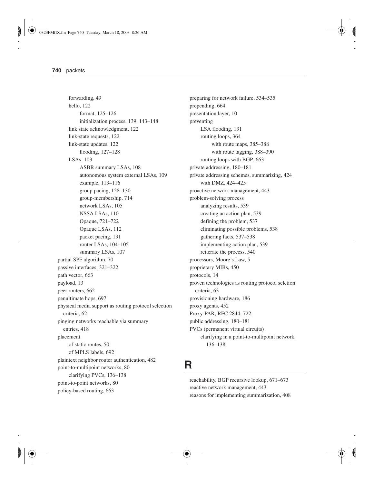forwarding, 49 hello, 122 format, 125–126 initialization process, 139, 143–148 link state acknowledgment, 122 link-state requests, 122 link-state updates, 122 flooding, 127–128 LSAs, 103 ASBR summary LSAs, 108 autonomous system external LSAs, 109 example, 113–116 group pacing, 128–130 group-membership, 714 network LSAs, 105 NSSA LSAs, 110 Opaque, 721–722 Opaque LSAs, 112 packet pacing, 131 router LSAs, 104–105 summary LSAs, 107 partial SPF algorithm, 70 passive interfaces, 321–322 path vector, 663 payload, 13 peer routers, 662 penultimate hops, 697 physical media support as routing protocol selection criteria, 62 pinging networks reachable via summary entries, 418 placement of static routes, 50 of MPLS labels, 692 plaintext neighbor router authentication, 482 point-to-multipoint networks, 80 clarifying PVCs, 136–138 point-to-point networks, 80 policy-based routing, 663

preparing for network failure, 534–535 prepending, 664 presentation layer, 10 preventing LSA flooding, 131 routing loops, 364 with route maps, 385–388 with route tagging, 388–390 routing loops with BGP, 663 private addressing, 180–181 private addressing schemes, summarizing, 424 with DMZ, 424–425 proactive network management, 443 problem-solving process analyzing results, 539 creating an action plan, 539 defining the problem, 537 eliminating possible problems, 538 gathering facts, 537–538 implementing action plan, 539 reiterate the process, 540 processors, Moore's Law, 5 proprietary MIBs, 450 protocols, 14 proven technologies as routing protocol seletion criteria, 63 provisioning hardware, 186 proxy agents, 452 Proxy-PAR, RFC 2844, 722 public addressing, 180–181 PVCs (permanent virtual circuits) clarifying in a point-to-multipoint network, 136–138

#### **R**

reachability, BGP recursive lookup, 671–673 reactive network management, 443 reasons for implementing summarization, 408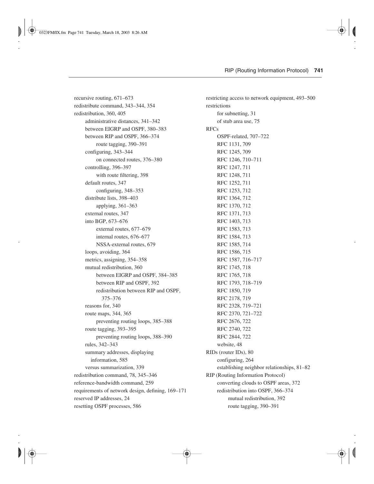recursive routing, 671–673 redistribute command, 343–344, 354 redistribution, 360, 405 administrative distances, 341–342 between EIGRP and OSPF, 380–383 between RIP and OSPF, 366–374 route tagging, 390–391 configuring, 343–344 on connected routes, 376–380 controlling, 396–397 with route filtering, 398 default routes, 347 configuring, 348–353 distribute lists, 398–403 applying, 361–363 external routes, 347 into BGP, 673–676 external routes, 677–679 internal routes, 676–677 NSSA-external routes, 679 loops, avoiding, 364 metrics, assigning, 354–358 mutual redistribution, 360 between EIGRP and OSPF, 384–385 between RIP and OSPF, 392 redistribution between RIP and OSPF, 375–376 reasons for, 340 route maps, 344, 365 preventing routing loops, 385–388 route tagging, 393–395 preventing routing loops, 388–390 rules, 342–343 summary addresses, displaying information, 585 versus summarization, 339 redistribution command, 78, 345–346 reference-bandwidth command, 259 requirements of network design, defining, 169–171 reserved IP addresses, 24 resetting OSPF processes, 586

restricting access to network equipment, 493–500 restrictions for subnetting, 31 of stub area use, 75 RFCs OSPF-related, 707–722 RFC 1131, 709 RFC 1245, 709 RFC 1246, 710–711 RFC 1247, 711 RFC 1248, 711 RFC 1252, 711 RFC 1253, 712 RFC 1364, 712 RFC 1370, 712 RFC 1371, 713 RFC 1403, 713 RFC 1583, 713 RFC 1584, 713 RFC 1585, 714 RFC 1586, 715 RFC 1587, 716–717 RFC 1745, 718 RFC 1765, 718 RFC 1793, 718–719 RFC 1850, 719 RFC 2178, 719 RFC 2328, 719–721 RFC 2370, 721–722 RFC 2676, 722 RFC 2740, 722 RFC 2844, 722 website, 48 RIDs (router IDs), 80 configuring, 264 establishing neighbor relationships, 81–82 RIP (Routing Information Protocol) converting clouds to OSPF areas, 372 redistribution into OSPF, 366–374 mutual redistribution, 392 route tagging, 390–391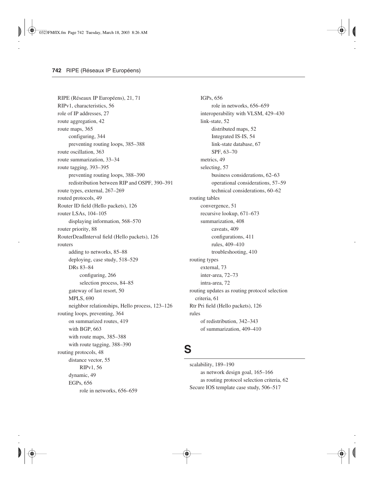RIPE (Réseaux IP Européens), 21, 71 RIPv1, characteristics, 56 role of IP addresses, 27 route aggregation, 42 route maps, 365 configuring, 344 preventing routing loops, 385–388 route oscillation, 363 route summarization, 33–34 route tagging, 393–395 preventing routing loops, 388–390 redistribution between RIP and OSPF, 390–391 route types, external, 267–269 routed protocols, 49 Router ID field (Hello packets), 126 router LSAs, 104–105 displaying information, 568–570 router priority, 88 RouterDeadInterval field (Hello packets), 126 routers adding to networks, 85–88 deploying, case study, 518–529 DRs 83–84 configuring, 266 selection process, 84–85 gateway of last resort, 50 MPLS, 690 neighbor relationships, Hello process, 123–126 routing loops, preventing, 364 on summarized routes, 419 with BGP, 663 with route maps, 385–388 with route tagging, 388–390 routing protocols, 48 distance vector, 55 RIPv1, 56 dynamic, 49 EGPs, 656 role in networks, 656–659

IGPs, 656 role in networks, 656–659 interoperability with VLSM, 429–430 link-state, 52 distributed maps, 52 Integrated IS-IS, 54 link-state database, 67 SPF, 63–70 metrics, 49 selecting, 57 business considerations, 62–63 operational considerations, 57–59 technical considerations, 60–62 routing tables convergence, 51 recursive lookup, 671–673 summarization, 408 caveats, 409 configurations, 411 rules, 409–410 troubleshooting, 410 routing types external, 73 inter-area, 72–73 intra-area, 72 routing updates as routing protocol selection criteria, 61 Rtr Pri field (Hello packets), 126 rules of redistribution, 342–343 of summarization, 409–410

# **S**

scalability, 189–190 as network design goal, 165–166 as routing protocol selection criteria, 62 Secure IOS template case study, 506–517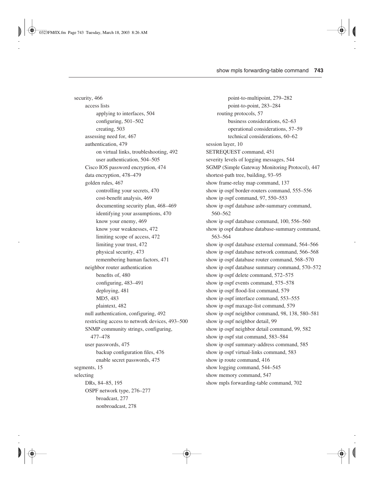security, 466 access lists applying to interfaces, 504 configuring, 501–502 creating, 503 assessing need for, 467 authentication, 479 on virtual links, troubleshooting, 492 user authentication, 504–505 Cisco IOS password encryption, 474 data encryption, 478–479 golden rules, 467 controlling your secrets, 470 cost-benefit analysis, 469 documenting security plan, 468–469 identifying your assumptions, 470 know your enemy, 469 know your weaknesses, 472 limiting scope of access, 472 limiting your trust, 472 physical security, 473 remembering human factors, 471 neighbor router authentication benefits of, 480 configuring, 483–491 deploying, 481 MD5, 483 plaintext, 482 null authentication, configuring, 492 restricting access to network devices, 493–500 SNMP community strings, configuring, 477–478 user passwords, 475 backup configuration files, 476 enable secret passwords, 475 segments, 15 selecting DRs, 84–85, 195 OSPF network type, 276–277 broadcast, 277 nonbroadcast, 278

point-to-multipoint, 279–282 point-to-point, 283–284 routing protocols, 57 business considerations, 62–63 operational considerations, 57–59 technical considerations, 60–62 session layer, 10 SETREQUEST command, 451 severity levels of logging messages, 544 SGMP (Simple Gateway Monitoring Protocol), 447 shortest-path tree, building, 93–95 show frame-relay map command, 137 show ip ospf border-routers command, 555–556 show ip ospf command, 97, 550–553 show ip ospf database asbr-summary command, 560–562 show ip ospf database command, 100, 556–560 show ip ospf database database-summary command, 563–564 show ip ospf database external command, 564–566 show ip ospf database network command, 566–568 show ip ospf database router command, 568–570 show ip ospf database summary command, 570–572 show ip ospf delete command, 572–575 show ip ospf events command, 575–578 show ip ospf flood-list command, 579 show ip ospf interface command, 553–555 show ip ospf maxage-list command, 579 show ip ospf neighbor command, 98, 138, 580–581 show ip ospf neighbor detail, 99 show ip ospf neighbor detail command, 99, 582 show ip ospf stat command, 583–584 show ip ospf summary-address command, 585 show ip ospf virtual-links command, 583 show ip route command, 416 show logging command, 544–545 show memory command, 547 show mpls forwarding-table command, 702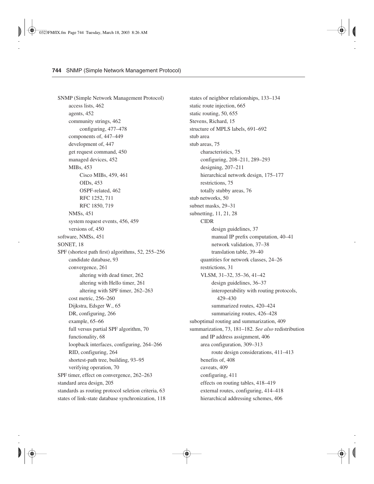```
SNMP (Simple Network Management Protocol)
    access lists, 462
    agents, 452
    community strings, 462
         configuring, 477–478
    components of, 447–449
    development of, 447
    get request command, 450
    managed devices, 452
    MIBs, 453
         Cisco MIBs, 459, 461
         OIDs, 453
         OSPF-related, 462
         RFC 1252, 711
         RFC 1850, 719
    NMSs, 451
    system request events, 456, 459
    versions of, 450
software, NMSs, 451
SONET, 18
SPF (shortest path first) algorithms, 52, 255–256
    candidate database, 93
    convergence, 261
         altering with dead timer, 262
         altering with Hello timer, 261
         altering with SPF timer, 262–263
    cost metric, 256–260
    Dijkstra, Edsger W., 65
    DR, configuring, 266
    example, 65–66
    full versus partial SPF algorithm, 70
    functionality, 68
    loopback interfaces, configuring, 264–266
    RID, configuring, 264
    shortest-path tree, building, 93–95
    verifying operation, 70
SPF timer, effect on convergence, 262–263
standard area design, 205
standards as routing protocol seletion criteria, 63
states of link-state database synchronization, 118
```
states of neighbor relationships, 133–134 static route injection, 665 static routing, 50, 655 Stevens, Richard, 15 structure of MPLS labels, 691–692 stub area stub areas, 75 characteristics, 75 configuring, 208–211, 289–293 designing, 207–211 hierarchical network design, 175–177 restrictions, 75 totally stubby areas, 76 stub networks, 50 subnet masks, 29–31 subnetting, 11, 21, 28 CIDR design guidelines, 37 manual IP prefix computation, 40–41 network validation, 37–38 translation table, 39–40 quantities for network classes, 24–26 restrictions, 31 VLSM, 31–32, 35–36, 41–42 design guidelines, 36–37 interoperability with routing protocols, 429–430 summarized routes, 420–424 summarizing routes, 426–428 suboptimal routing and summarization, 409 summarization, 73, 181–182. *See also* redistribution and IP address assignment, 406 area configuration, 309–313 route design considerations, 411–413 benefits of, 408 caveats, 409 configuring, 411 effects on routing tables, 418–419 external routes, configuring, 414–418 hierarchical addressing schemes, 406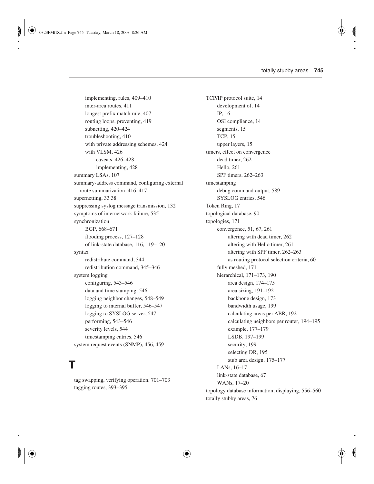implementing, rules, 409–410 inter-area routes, 411 longest prefix match rule, 407 routing loops, preventing, 419 subnetting, 420–424 troubleshooting, 410 with private addressing schemes, 424 with VLSM, 426 caveats, 426–428 implementing, 428 summary LSAs, 107 summary-address command, configuring external route summarization, 416–417 supernetting, 33 38 suppressing syslog message transmission, 132 symptoms of internetwork failure, 535 synchronization BGP, 668–671 flooding process, 127–128 of link-state database, 116, 119–120 syntax redistribute command, 344 redistribution command, 345–346 system logging configuring, 543–546 data and time stamping, 546 logging neighbor changes, 548–549 logging to internal buffer, 546–547 logging to SYSLOG server, 547 performing, 543–546 severity levels, 544 timestamping entries, 546 system request events (SNMP), 456, 459

# **T**

tag swapping, verifying operation, 701–703 tagging routes, 393–395

TCP/IP protocol suite, 14 development of, 14 IP, 16 OSI compliance, 14 segments, 15 TCP, 15 upper layers, 15 timers, effect on convergence dead timer, 262 Hello, 261 SPF timers, 262–263 timestamping debug command output, 589 SYSLOG entries, 546 Token Ring, 17 topological database, 90 topologies, 171 convergence, 51, 67, 261 altering with dead timer, 262 altering with Hello timer, 261 altering with SPF timer, 262–263 as routing protocol selection criteria, 60 fully meshed, 171 hierarchical, 171–173, 190 area design, 174–175 area sizing, 191–192 backbone design, 173 bandwidth usage, 199 calculating areas per ABR, 192 calculating neighbors per router, 194–195 example, 177–179 LSDB, 197–199 security, 199 selecting DR, 195 stub area design, 175–177 LANs, 16–17 link-state database, 67 WANs, 17–20 topology database information, displaying, 556–560 totally stubby areas, 76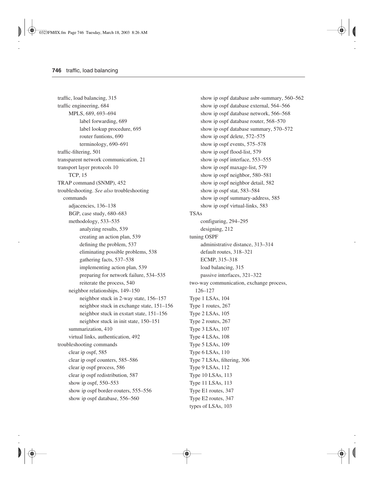traffic, load balancing, 315 traffic engineering, 684 MPLS, 689, 693–694 label forwarding, 689 label lookup procedure, 695 router funtions, 690 terminology, 690–691 traffic-filtering, 501 transparent network communication, 21 transport layer protocols 10 TCP, 15 TRAP command (SNMP), 452 troubleshooting. *See also* troubleshooting commands adjacencies, 136–138 BGP, case study, 680–683 methodology, 533–535 analyzing results, 539 creating an action plan, 539 defining the problem, 537 eliminating possible problems, 538 gathering facts, 537–538 implementing action plan, 539 preparing for network failure, 534–535 reiterate the process, 540 neighbor relationships, 149–150 neighbor stuck in 2-way state, 156–157 neighbor stuck in exchange state, 151–156 neighbor stuck in exstart state, 151–156 neighbor stuck in init state, 150–151 summarization, 410 virtual links, authentication, 492 troubleshooting commands clear ip ospf, 585 clear ip ospf counters, 585–586 clear ip ospf process, 586 clear ip ospf redistribution, 587 show ip ospf, 550–553 show ip ospf border-routers, 555–556 show ip ospf database, 556–560

show ip ospf database asbr-summary, 560–562 show ip ospf database external, 564–566 show ip ospf database network, 566–568 show ip ospf database router, 568–570 show ip ospf database summary, 570–572 show ip ospf delete, 572–575 show ip ospf events, 575–578 show ip ospf flood-list, 579 show ip ospf interface, 553–555 show ip ospf maxage-list, 579 show ip ospf neighbor, 580–581 show ip ospf neighbor detail, 582 show ip ospf stat, 583–584 show ip ospf summary-address, 585 show ip ospf virtual-links, 583 TSAs configuring, 294–295 designing, 212 tuning OSPF administrative distance, 313–314 default routes, 318–321 ECMP, 315–318 load balancing, 315 passive interfaces, 321–322 two-way communication, exchange process, 126–127 Type 1 LSAs, 104 Type 1 routes, 267 Type 2 LSAs, 105 Type 2 routes, 267 Type 3 LSAs, 107 Type 4 LSAs, 108 Type 5 LSAs, 109 Type 6 LSAs, 110 Type 7 LSAs, filtering, 306 Type 9 LSAs, 112 Type 10 LSAs, 113 Type 11 LSAs, 113 Type E1 routes, 347 Type E2 routes, 347 types of LSAs, 103